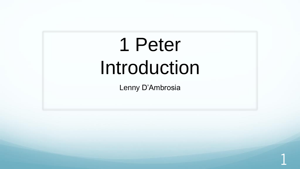# 1 Peter Introduction

Lenny D'Ambrosia

1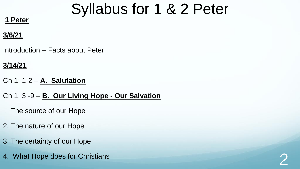#### **1 Peter**

#### **3/6/21**

Introduction – Facts about Peter

#### **3/14/21**

Ch 1: 1-2 – **A. Salutation**

Ch 1: 3 -9 – **B. Our Living Hope - Our Salvation**

- I. The source of our Hope
- 2. The nature of our Hope
- 3. The certainty of our Hope
- 4. What Hope does for Christians 2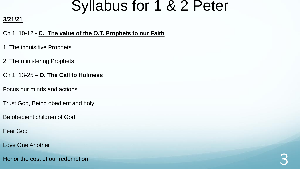#### **3/21/21**

Ch 1: 10-12 - **C. The value of the O.T. Prophets to our Faith** 

- 1. The inquisitive Prophets
- 2. The ministering Prophets
- Ch 1: 13-25 **D. The Call to Holiness**
- Focus our minds and actions
- Trust God, Being obedient and holy
- Be obedient children of God
- Fear God
- Love One Another
- Honor the cost of our redemption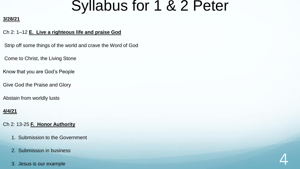#### **3/28/21**

#### Ch 2: 1–12 **E. Live a righteous life and praise God**

Strip off some things of the world and crave the Word of God

Come to Christ, the Living Stone

Know that you are God's People

Give God the Praise and Glory

Abstain from worldly lusts

#### **4/4/21**

Ch 2: 13-25 **F. Honor Authority**

- 1. Submission to the Government
- 2. Submission in business
- $\overline{a}$  Jesus is our example  $\overline{a}$

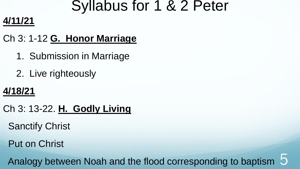### **4/11/21**

### Ch 3: 1-12 **G. Honor Marriage**

- 1. Submission in Marriage
- 2. Live righteously

### **4/18/21**

- Ch 3: 13-22. **H. Godly Living**
	- Sanctify Christ
	- Put on Christ

Analogy between Noah and the flood corresponding to baptism 5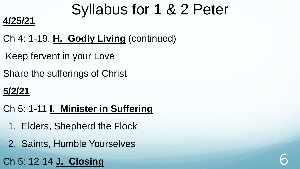### **4/25/21**

- Ch 4: 1-19. **H. Godly Living** (continued)
- Keep fervent in your Love
- Share the sufferings of Christ

### **5/2/21**

- Ch 5: 1-11 **I. Minister in Suffering**
	- 1. Elders, Shepherd the Flock
	- 2. Saints, Humble Yourselves
- Ch 5: 12-14 **J. Closing** 6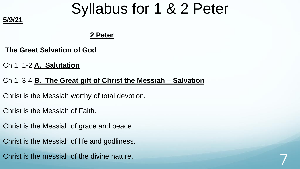#### **2 Peter**

**The Great Salvation of God**

Ch 1: 1-2 **A. Salutation**

**5/9/21**

#### Ch 1: 3-4 **B. The Great gift of Christ the Messiah – Salvation**

Christ is the Messiah worthy of total devotion.

Christ is the Messiah of Faith.

Christ is the Messiah of grace and peace.

Christ is the Messiah of life and godliness.

Christ is the messiah of the divine nature.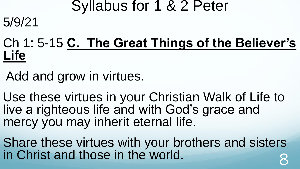### Ch 1: 5-15 **C. The Great Things of the Believer's Life**

Add and grow in virtues.

5/9/21

Use these virtues in your Christian Walk of Life to live a righteous life and with God's grace and mercy you may inherit eternal life.

Share these virtues with your brothers and sisters in Christ and those in the world. 8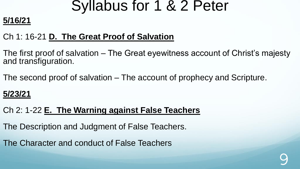### **5/16/21**

### Ch 1: 16-21 **D. The Great Proof of Salvation**

The first proof of salvation – The Great eyewitness account of Christ's majesty and transfiguration.

The second proof of salvation – The account of prophecy and Scripture.

### **5/23/21**

#### Ch 2: 1-22 **E. The Warning against False Teachers**

The Description and Judgment of False Teachers.

The Character and conduct of False Teachers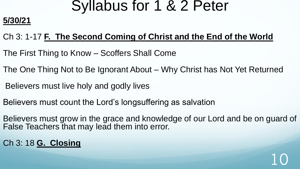### **5/30/21**

### Ch 3: 1-17 **F. The Second Coming of Christ and the End of the World**

- The First Thing to Know Scoffers Shall Come
- The One Thing Not to Be Ignorant About Why Christ has Not Yet Returned
- Believers must live holy and godly lives
- Believers must count the Lord's longsuffering as salvation
- Believers must grow in the grace and knowledge of our Lord and be on guard of False Teachers that may lead them into error.

10

Ch 3: 18 **G. Closing**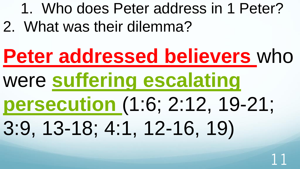1. Who does Peter address in 1 Peter? 2. What was their dilemma?

# **Peter addressed believers** who were **suffering escalating persecution** (1:6; 2:12, 19-21; 3:9, 13-18; 4:1, 12-16, 19)

11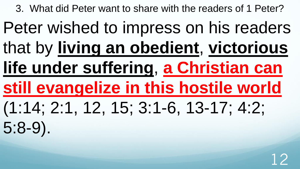3. What did Peter want to share with the readers of 1 Peter?

Peter wished to impress on his readers that by **living an obedient**, **victorious life under suffering**, **a Christian can still evangelize in this hostile world**  (1:14; 2:1, 12, 15; 3:1-6, 13-17; 4:2; 5:8-9).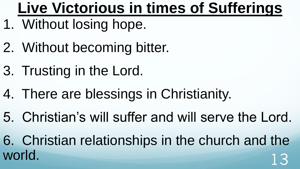# **Live Victorious in times of Sufferings**

- 1. Without losing hope.
- 2. Without becoming bitter.
- 3. Trusting in the Lord.
- 4. There are blessings in Christianity.
- 5. Christian's will suffer and will serve the Lord.
- 6. Christian relationships in the church and the world. The contract of the contract of the contract of the contract of the contract of the contract of the contract of the contract of the contract of the contract of the contract of the contract of the contract of the con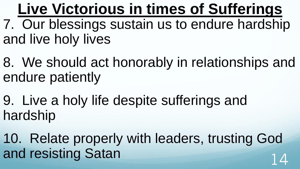**Live Victorious in times of Sufferings** 7. Our blessings sustain us to endure hardship and live holy lives

8. We should act honorably in relationships and endure patiently

9. Live a holy life despite sufferings and hardship

10. Relate properly with leaders, trusting God and resisting Satan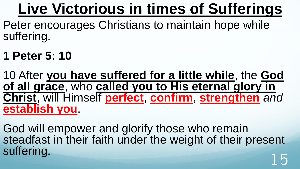# **Live Victorious in times of Sufferings**

Peter encourages Christians to maintain hope while suffering.

**1 Peter 5: 10**

10 After **you have suffered for a little while**, the **God of all grace**, who **called you to His eternal glory in Christ**, will Himself **perfect**, **confirm**, **strengthen** *and* **establish you**.

God will empower and glorify those who remain steadfast in their faith under the weight of their present suffering.<br>
15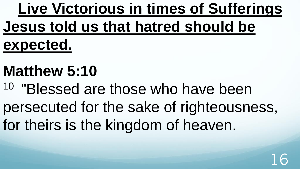**Live Victorious in times of Sufferings Jesus told us that hatred should be expected.** 

# **Matthew 5:10**

<sup>10</sup> "Blessed are those who have been persecuted for the sake of righteousness, for theirs is the kingdom of heaven.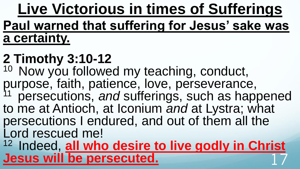**Live Victorious in times of Sufferings Paul warned that suffering for Jesus' sake was a certainty.** 

# **2 Timothy 3:10-12**

<sup>10</sup> Now you followed my teaching, conduct, purpose, faith, patience, love, perseverance, <sup>11</sup> persecutions, and sufferings, such as happened to me at Antioch, at Iconium *and* at Lystra; what persecutions I endured, and out of them all the Lord rescued me!

<sup>12</sup> Indeed, **all who desire to live godly in Christ Jesus will be persecuted.**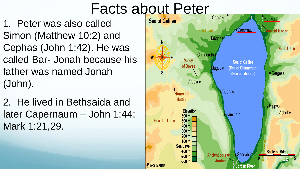1. Peter was also called Simon (Matthew 10:2) and Cephas (John 1:42). He was called Bar- Jonah because his father was named Jonah (John).

2. He lived in Bethsaida and later Capernaum – John 1:44; Mark 1:21,29.

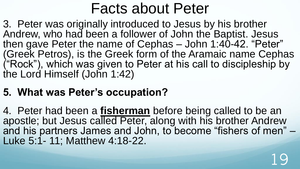3. Peter was originally introduced to Jesus by his brother Andrew, who had been a follower of John the Baptist. Jesus then gave Peter the name of Cephas – John 1:40-42. "Peter" (Greek Petros), is the Greek form of the Aramaic name Cephas ("Rock"), which was given to Peter at his call to discipleship by the Lord Himself (John 1:42)

### **5. What was Peter's occupation?**

4. Peter had been a **fisherman** before being called to be an apostle; but Jesus called Peter, along with his brother Andrew and his partners James and John, to become "fishers of men" – Luke 5:1- 11; Matthew 4:18-22.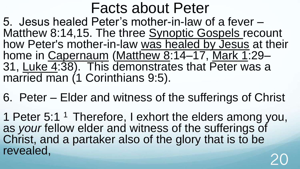5. Jesus healed Peter's mother-in-law of a fever – Matthew 8:14,15. The three [Synoptic Gospels](https://en.wikipedia.org/wiki/Synoptic_Gospels) recount how Peter's mother-in-law [was healed by Jesus](https://en.wikipedia.org/wiki/Healing_the_mother_of_Peter%27s_wife) at their home in [Capernaum](https://en.wikipedia.org/wiki/Capernaum) ([Matthew 8](https://en.wikipedia.org/wiki/Matthew_8):14–17, [Mark 1](https://en.wikipedia.org/wiki/Mark_1):29– 31, [Luke 4](https://en.wikipedia.org/wiki/Luke_4):38). This demonstrates that Peter was a married man (1 Corinthians 9:5).

6. Peter – Elder and witness of the sufferings of Christ

1 Peter 5:1<sup>1</sup> Therefore, I exhort the elders among you, as *your* fellow elder and witness of the sufferings of Christ, and a partaker also of the glory that is to be revealed. revealed, 20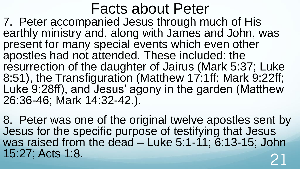7. Peter accompanied Jesus through much of His earthly ministry and, along with James and John, was present for many special events which even other apostles had not attended. These included: the resurrection of the daughter of Jairus (Mark 5:37; Luke 8:51), the Transfiguration (Matthew 17:1ff; Mark 9:22ff; Luke 9:28ff), and Jesus' agony in the garden (Matthew 26:36-46; Mark 14:32-42.).

8. Peter was one of the original twelve apostles sent by Jesus for the specific purpose of testifying that Jesus was raised from the dead – Luke 5:1-11; 6:13-15; John 15:27; Acts 1:8.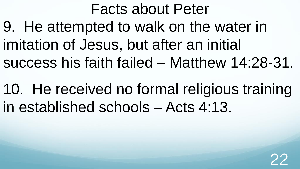Facts about Peter 9. He attempted to walk on the water in imitation of Jesus, but after an initial success his faith failed – Matthew 14:28-31.

10. He received no formal religious training in established schools – Acts 4:13.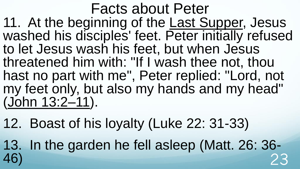Facts about Peter 11. At the beginning of the [Last Supper,](https://en.wikipedia.org/wiki/Last_Supper) Jesus washed his disciples' feet. Peter initially refused to let Jesus wash his feet, but when Jesus threatened him with: "If I wash thee not, thou hast no part with me", Peter replied: "Lord, not my feet only, but also my hands and my head" [\(John 13:2–11\)](https://en.wikipedia.org/wiki/John_13).

12. Boast of his loyalty (Luke 22: 31-33)

13. In the garden he fell asleep (Matt. 26: 36- 46) 23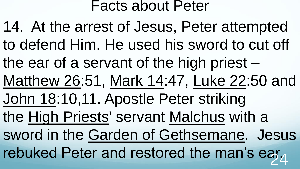14. At the arrest of Jesus, Peter attempted to defend Him. He used his sword to cut off the ear of a servant of the high priest – [Matthew 26](https://en.wikipedia.org/wiki/Matthew_26):51, [Mark 14](https://en.wikipedia.org/wiki/Mark_14):47, [Luke 22](https://en.wikipedia.org/wiki/Luke_22):50 and John 18:10,11. Apostle Peter striking the [High Priests](https://en.wikipedia.org/wiki/High_Priest)' servant [Malchus](https://en.wikipedia.org/wiki/Malchus) with a sword in the [Garden of Gethsemane.](https://en.wikipedia.org/wiki/Garden_of_Gethsemane) Jesus rebuked Peter and restored the man's ear $_A$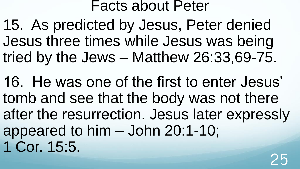15. As predicted by Jesus, Peter denied Jesus three times while Jesus was being tried by the Jews – Matthew 26:33,69-75.

16. He was one of the first to enter Jesus' tomb and see that the body was not there after the resurrection. Jesus later expressly appeared to him – John 20:1-10; 1 Cor. 15:5.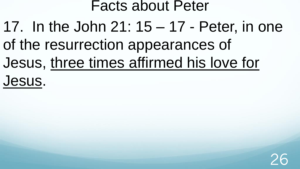17. In the John 21: 15 – 17 - Peter, in one of the resurrection appearances of Jesus, [three times affirmed his love for](https://en.wikipedia.org/wiki/Restoration_of_Peter)  Jesus.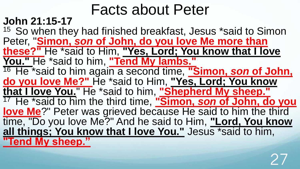### **John 21:15-17**

<sup>15</sup> So when they had finished breakfast, Jesus \*said to Simon Peter, "**Simon,** *son* **of John, do you love Me more than these?"** He \*said to Him, **"Yes, Lord; You know that I love You."** He \*said to him, **"Tend My lambs."**  <sup>16</sup> He \*said to him again a second time, "Simon, son of John, **do you love Me?"** He \*said to Him, **"Yes, Lord; You know that I love You.**" He \*said to him, **"Shepherd My sheep."**  <sup>17</sup>He \*said to him the third time, **"Simon,** *son* **of John, do you love Me**?" Peter was grieved because He said to him the third time, "Do you love Me?" And he said to Him, **"Lord, You know all things; You know that I love You."** Jesus \*said to him, **"Tend My sheep."**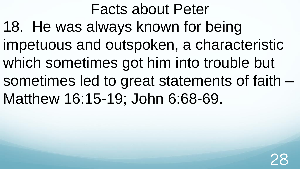Facts about Peter 18. He was always known for being impetuous and outspoken, a characteristic which sometimes got him into trouble but sometimes led to great statements of faith – Matthew 16:15-19; John 6:68-69.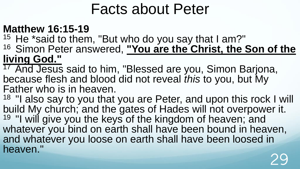### **Matthew 16:15-19**

- $15$  He \*said to them, "But who do you say that I am?"
- <sup>16</sup> Simon Peter answered, "You are the Christ, the Son of the **living God."**
- <sup>17</sup> And Jesus said to him, "Blessed are you, Simon Barjona, because flesh and blood did not reveal *this* to you, but My Father who is in heaven.
- <sup>18</sup> "I also say to you that you are Peter, and upon this rock I will build My church; and the gates of Hades will not overpower it. <sup>19</sup> "I will give you the keys of the kingdom of heaven; and whatever you bind on earth shall have been bound in heaven, and whatever you loose on earth shall have been loosed in heaven." 29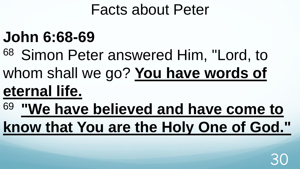# **John 6:68-69**

<sup>68</sup> Simon Peter answered Him, "Lord, to whom shall we go? **You have words of eternal life.** 

<sup>69</sup>**"We have believed and have come to know that You are the Holy One of God."** 

30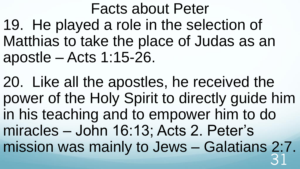Facts about Peter 19. He played a role in the selection of Matthias to take the place of Judas as an apostle – Acts 1:15-26.

20. Like all the apostles, he received the power of the Holy Spirit to directly guide him in his teaching and to empower him to do miracles – John 16:13; Acts 2. Peter's mission was mainly to Jews – Galatians 2:7. 31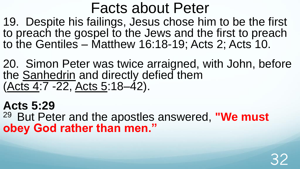19. Despite his failings, Jesus chose him to be the first to preach the gospel to the Jews and the first to preach to the Gentiles – Matthew 16:18-19; Acts 2; Acts 10.

20. Simon Peter was twice arraigned, with John, before the [Sanhedrin](https://en.wikipedia.org/wiki/Sanhedrin) and directly defied them [\(Acts 4](https://en.wikipedia.org/wiki/Acts_4):7 -22, [Acts 5:](https://en.wikipedia.org/wiki/Acts_5)18–42).

32

**Acts 5:29** <sup>29</sup> But Peter and the apostles answered, "We must **obey God rather than men."**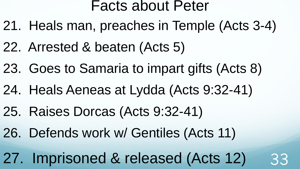- 21. Heals man, preaches in Temple (Acts 3-4)
- 22. Arrested & beaten (Acts 5)
- 23. Goes to Samaria to impart gifts (Acts 8)
- 24. Heals Aeneas at Lydda (Acts 9:32-41)
- 25. Raises Dorcas (Acts 9:32-41)
- 26. Defends work w/ Gentiles (Acts 11)

27. Imprisoned & released (Acts 12) 33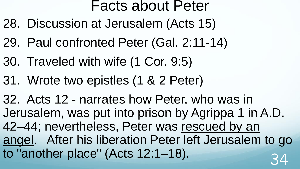- 28. Discussion at Jerusalem (Acts 15)
- 29. Paul confronted Peter (Gal. 2:11-14)
- 30. Traveled with wife (1 Cor. 9:5)
- 31. Wrote two epistles (1 & 2 Peter)

32. Acts 12 - narrates how Peter, who was in Jerusalem, was put into prison by Agrippa 1 in A.D. 42–44; nevertheless, Peter was rescued by an [angel. After his liberation Peter left Jerusalem](https://en.wikipedia.org/wiki/Liberation_of_Saint_Peter) to go to "another place" (Acts 12:1-18).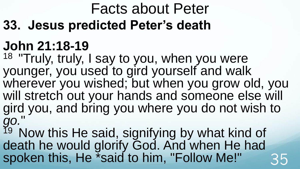**33. Jesus predicted Peter's death**

# **John 21:18-19**

<sup>18</sup> "Truly, truly, I say to you, when you were younger, you used to gird yourself and walk wherever you wished; but when you grow old, you will stretch out your hands and someone else will gird you, and bring you where you do not wish to *go.*"

<sup>19</sup> Now this He said, signifying by what kind of death he would glorify God. And when He had spoken this, He \*said to him, "Follow Me!" 35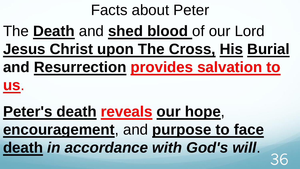The **Death** and **shed blood** of our Lord **Jesus Christ upon The Cross, His Burial and Resurrection provides salvation to us**.

**Peter's death reveals our hope**, **encouragement**, and **purpose to face death** *in accordance with God's will*. 36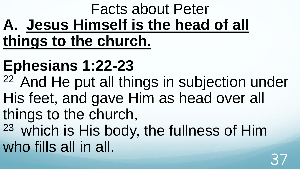# Facts about Peter **A. Jesus Himself is the head of all things to the church.**

# **Ephesians 1:22-23**

<sup>22</sup> And He put all things in subjection under His feet, and gave Him as head over all things to the church, <sup>23</sup> which is His body, the fullness of Him who fills all in all.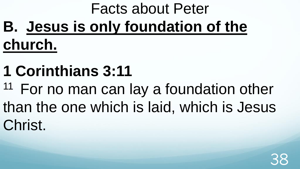# Facts about Peter **B. Jesus is only foundation of the church.**

- **1 Corinthians 3:11**
- $11$  For no man can lay a foundation other than the one which is laid, which is Jesus Christ.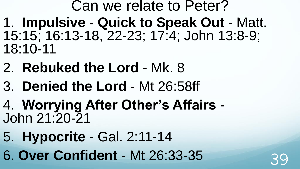- Can we relate to Peter? 1. **Impulsive - Quick to Speak Out** - Matt. 15:15; 16:13-18, 22-23; 17:4; John 13:8-9; 18:10-11
- 2. **Rebuked the Lord**  Mk. 8
- 3. **Denied the Lord**  Mt 26:58ff
- 4. **Worrying After Other's Affairs**  John 21:20-21
- 5. **Hypocrite** Gal. 2:11-14
- 6. **Over Confident**  Mt 26:33-35 39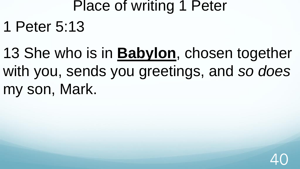# Place of writing 1 Peter 1 Peter 5:13

13 She who is in **Babylon**, chosen together with you, sends you greetings, and *so does* my son, Mark.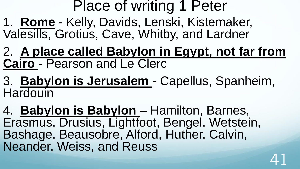## Place of writing 1 Peter

1. **Rome** - Kelly, Davids, Lenski, Kistemaker, Valesills, Grotius, Cave, Whitby, and Lardner

2. **A place called Babylon in Egypt, not far from Cairo** - Pearson and Le Clerc

3. **Babylon is Jerusalem** - Capellus, Spanheim, **Hardouin** 

4. **Babylon is Babylon** – Hamilton, Barnes, Erasmus, Drusius, Lightfoot, Bengel, Wetstein, Bashage, Beausobre, Alford, Huther, Calvin, Neander, Weiss, and Reuss

41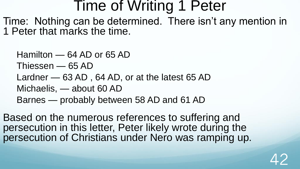### Time of Writing 1 Peter

Time: Nothing can be determined. There isn't any mention in 1 Peter that marks the time.

Hamilton — 64 AD or 65 AD Thiessen — 65 AD Lardner — 63 AD , 64 AD, or at the latest 65 AD Michaelis, — about 60 AD Barnes — probably between 58 AD and 61 AD

Based on the numerous references to suffering and persecution in this letter, Peter likely wrote during the persecution of Christians under Nero was ramping up.